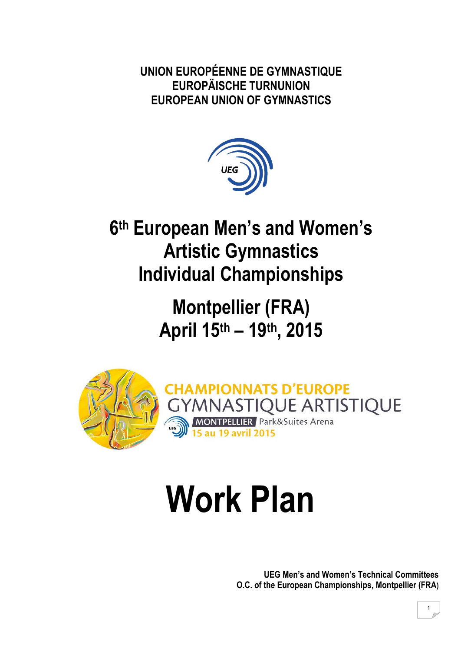**UNION EUROPÉENNE DE GYMNASTIQUE EUROPÄISCHE TURNUNION EUROPEAN UNION OF GYMNASTICS** 



# **6th European Men's and Women's Artistic Gymnastics Individual Championships**

**Montpellier (FRA) April 15th – 19th, 2015**



# **Work Plan**

**UEG Men's and Women's Technical Committees O.C. of the European Championships, Montpellier (FRA)**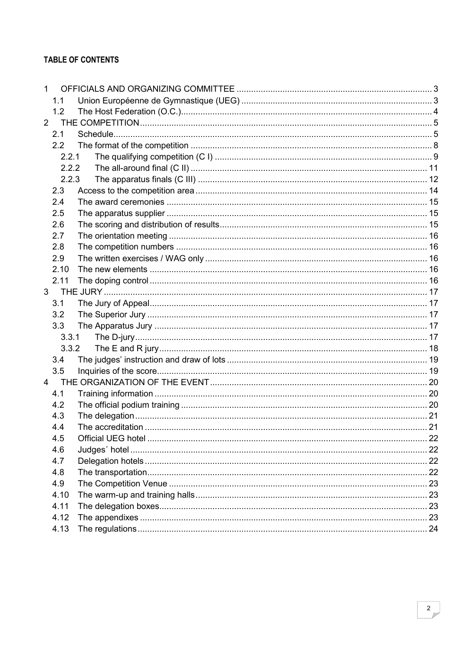#### **TABLE OF CONTENTS**

| $\mathbf{1}$   |                |  |
|----------------|----------------|--|
|                | 1.1            |  |
|                | 1.2            |  |
| 2              |                |  |
|                | 2.1            |  |
|                | $2.2^{\circ}$  |  |
|                | 2.2.1          |  |
|                | 2.2.2          |  |
|                | 2.2.3          |  |
|                | 2.3            |  |
|                | 2.4            |  |
|                | 2.5            |  |
|                | 2.6            |  |
|                | 2.7            |  |
|                | 2.8            |  |
|                | 2.9            |  |
|                | 2.10           |  |
|                | 2.11           |  |
|                | 3 <sup>7</sup> |  |
|                | 3.1            |  |
|                | 3.2            |  |
|                | 3.3            |  |
|                | 3.3.1          |  |
|                | 3.3.2          |  |
|                | 3.4            |  |
|                | 3.5            |  |
| $\overline{4}$ |                |  |
|                | 4.1            |  |
|                | 4.2            |  |
|                | 4.3            |  |
|                | 4.4            |  |
|                | 4.5            |  |
|                | 4.6            |  |
|                | 4.7            |  |
|                | 4.8            |  |
|                | 4.9            |  |
|                | 4.10           |  |
|                | 4.11           |  |
|                | 4.12           |  |
|                | 4.13           |  |
|                |                |  |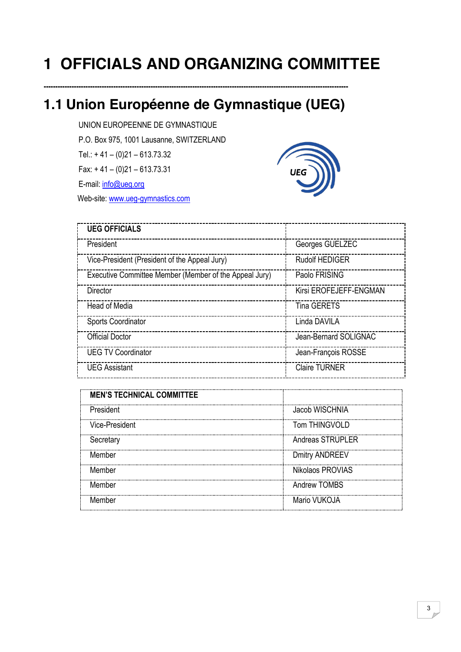# <span id="page-2-0"></span>**1 OFFICIALS AND ORGANIZING COMMITTEE**

# <span id="page-2-1"></span>**1.1 Union Européenne de Gymnastique (UEG)**

**-----------------------------------------------------------------------------------------------------------------------------------**

UNION EUROPEENNE DE GYMNASTIQUE P.O. Box 975, 1001 Lausanne, SWITZERLAND Tel.: + 41 – (0)21 – 613.73.32 Fax: + 41 – (0)21 – 613.73.31 E-mail: [info@ueg.org](mailto:info@ueg.org) 

Web-site: [www.ueg-gymnastics.com](http://www.ueg-gymnastics.com/)



| <b>UEG OFFICIALS</b>                                   |                        |
|--------------------------------------------------------|------------------------|
| President                                              | Georges GUELZEC        |
| Vice-President (President of the Appeal Jury)          | <b>Rudolf HEDIGER</b>  |
| Executive Committee Member (Member of the Appeal Jury) | Paolo FRISING          |
| Director                                               | Kirsi EROFEJEFF-ENGMAN |
| Head of Media                                          | <b>Tina GERETS</b>     |
| <b>Sports Coordinator</b>                              | Linda DAVILA           |
| <b>Official Doctor</b>                                 | Jean-Bernard SOLIGNAC  |
| <b>UEG TV Coordinator</b>                              | Jean-François ROSSE    |
| <b>UEG Assistant</b>                                   | <b>Claire TURNER</b>   |

| <b>MEN'S TECHNICAL COMMITTEE</b> |                       |
|----------------------------------|-----------------------|
| President                        | Jacob WISCHNIA        |
| Vice-President                   | Tom THINGVOLD         |
| Secretary                        | Andreas STRUPLER      |
| Member                           | <b>Dmitry ANDREEV</b> |
| Member                           | Nikolaos PROVIAS      |
| Member                           | Andrew TOMBS          |
| Member                           | Mario VUKOJA          |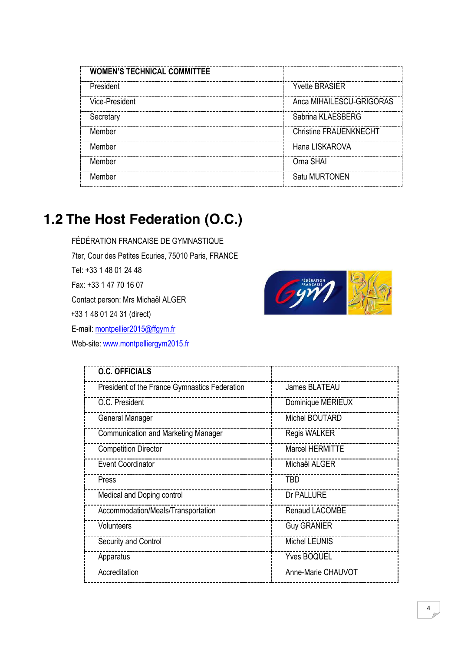| <b>WOMEN'S TECHNICAL COMMITTEE</b> |                               |
|------------------------------------|-------------------------------|
| President                          | <b>Yvette BRASIER</b>         |
| Vice-President                     | Anca MIHAILESCU-GRIGORAS      |
| Secretary                          | Sabrina KLAESBERG             |
| Member                             | <b>Christine FRAUENKNECHT</b> |
| Member                             | Hana LISKAROVA                |
| Member                             | Orna SHAI                     |
| Member                             | Satu MURTONEN                 |

# <span id="page-3-0"></span>**1.2 The Host Federation (O.C.)**

FÉDÉRATION FRANCAISE DE GYMNASTIQUE 7ter, Cour des Petites Ecuries, 75010 Paris, FRANCE Tel: +33 1 48 01 24 48 Fax: +33 1 47 70 16 07 Contact person: Mrs Michaël ALGER +33 1 48 01 24 31 (direct) E-mail: [montpellier2015@ffgym.fr](mailto:montpellier2015@ffgym.fr) Web-site: [www.montpelliergym2015.fr](http://www.montpelliergym2015.fr/)



| <b>O.C. OFFICIALS</b>                         |                        |
|-----------------------------------------------|------------------------|
| President of the France Gymnastics Federation | James BLATEAU          |
| O.C. President                                | Dominique MÉRIEUX      |
| General Manager                               | Michel BOUTARD         |
| <b>Communication and Marketing Manager</b>    | <b>Regis WALKER</b>    |
| <b>Competition Director</b>                   | <b>Marcel HERMITTE</b> |
| <b>Event Coordinator</b>                      | Michaël ALGER          |
| Press                                         | <b>TBD</b>             |
| Medical and Doping control                    | Dr PALLURE             |
| Accommodation/Meals/Transportation            | Renaud LACOMBE         |
| Volunteers                                    | <b>Guy GRANIER</b>     |
| Security and Control                          | <b>Michel LEUNIS</b>   |
| Apparatus                                     | <b>Yves BOQUEL</b>     |
| Accreditation                                 | Anne-Marie CHAUVOT     |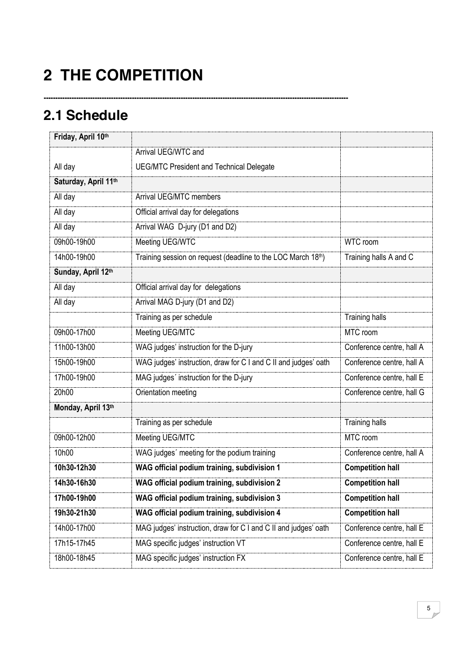# <span id="page-4-0"></span>**2 THE COMPETITION**

**-----------------------------------------------------------------------------------------------------------------------------------**

## <span id="page-4-1"></span>**2.1 Schedule**

| Friday, April 10th   |                                                                 |                           |
|----------------------|-----------------------------------------------------------------|---------------------------|
|                      | Arrival UEG/WTC and                                             |                           |
| All day              | <b>UEG/MTC President and Technical Delegate</b>                 |                           |
| Saturday, April 11th |                                                                 |                           |
| All day              | Arrival UEG/MTC members                                         |                           |
| All day              | Official arrival day for delegations                            |                           |
| All day              | Arrival WAG D-jury (D1 and D2)                                  |                           |
| 09h00-19h00          | Meeting UEG/WTC                                                 | WTC room                  |
| 14h00-19h00          | Training session on request (deadline to the LOC March 18th)    | Training halls A and C    |
| Sunday, April 12th   |                                                                 |                           |
| All day              | Official arrival day for delegations                            |                           |
| All day              | Arrival MAG D-jury (D1 and D2)                                  |                           |
|                      | Training as per schedule                                        | <b>Training halls</b>     |
| 09h00-17h00          | Meeting UEG/MTC                                                 | MTC room                  |
| 11h00-13h00          | WAG judges' instruction for the D-jury                          | Conference centre, hall A |
| 15h00-19h00          | WAG judges' instruction, draw for C I and C II and judges' oath | Conference centre, hall A |
| 17h00-19h00          | MAG judges' instruction for the D-jury                          | Conference centre, hall E |
| 20h00                | Orientation meeting                                             | Conference centre, hall G |
| Monday, April 13th   |                                                                 |                           |
|                      | Training as per schedule                                        | <b>Training halls</b>     |
| 09h00-12h00          | Meeting UEG/MTC                                                 | MTC room                  |
| 10h00                | WAG judges' meeting for the podium training                     | Conference centre, hall A |
| 10h30-12h30          | WAG official podium training, subdivision 1                     | <b>Competition hall</b>   |
| 14h30-16h30          | WAG official podium training, subdivision 2                     | <b>Competition hall</b>   |
| 17h00-19h00          | WAG official podium training, subdivision 3                     | <b>Competition hall</b>   |
| 19h30-21h30          | WAG official podium training, subdivision 4                     | <b>Competition hall</b>   |
| 14h00-17h00          | MAG judges' instruction, draw for C I and C II and judges' oath | Conference centre, hall E |
| 17h15-17h45          | MAG specific judges' instruction VT                             | Conference centre, hall E |
| 18h00-18h45          | MAG specific judges' instruction FX                             | Conference centre, hall E |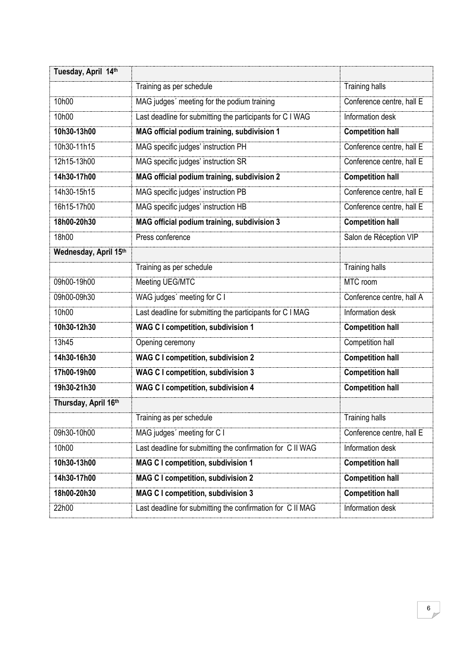| Tuesday, April 14th   |                                                            |                           |  |
|-----------------------|------------------------------------------------------------|---------------------------|--|
|                       | Training as per schedule                                   | <b>Training halls</b>     |  |
| 10h00                 | MAG judges' meeting for the podium training                | Conference centre, hall E |  |
| 10h00                 | Last deadline for submitting the participants for C I WAG  | Information desk          |  |
| 10h30-13h00           | MAG official podium training, subdivision 1                |                           |  |
| 10h30-11h15           | MAG specific judges' instruction PH                        | Conference centre, hall E |  |
| 12h15-13h00           | MAG specific judges' instruction SR                        | Conference centre, hall E |  |
| 14h30-17h00           | MAG official podium training, subdivision 2                | <b>Competition hall</b>   |  |
| 14h30-15h15           | MAG specific judges' instruction PB                        | Conference centre, hall E |  |
| 16h15-17h00           | MAG specific judges' instruction HB                        | Conference centre, hall E |  |
| 18h00-20h30           | MAG official podium training, subdivision 3                | <b>Competition hall</b>   |  |
| 18h00                 | Press conference                                           | Salon de Réception VIP    |  |
| Wednesday, April 15th |                                                            |                           |  |
|                       | Training as per schedule                                   | <b>Training halls</b>     |  |
| 09h00-19h00           | Meeting UEG/MTC                                            | MTC room                  |  |
| 09h00-09h30           | WAG judges' meeting for C I                                | Conference centre, hall A |  |
| 10h00                 | Last deadline for submitting the participants for C I MAG  | Information desk          |  |
| 10h30-12h30           | <b>WAG C I competition, subdivision 1</b>                  | <b>Competition hall</b>   |  |
| 13h45                 | Opening ceremony                                           | Competition hall          |  |
| 14h30-16h30           | <b>WAG C I competition, subdivision 2</b>                  | <b>Competition hall</b>   |  |
| 17h00-19h00           | <b>WAG C I competition, subdivision 3</b>                  | <b>Competition hall</b>   |  |
| 19h30-21h30           | <b>WAG C I competition, subdivision 4</b>                  | <b>Competition hall</b>   |  |
| Thursday, April 16th  |                                                            |                           |  |
|                       | Training as per schedule                                   | <b>Training halls</b>     |  |
| 09h30-10h00           | MAG judges' meeting for C I                                | Conference centre, hall E |  |
| 10h00                 | Last deadline for submitting the confirmation for C II WAG | Information desk          |  |
| 10h30-13h00           | <b>MAG C I competition, subdivision 1</b>                  | <b>Competition hall</b>   |  |
| 14h30-17h00           | <b>MAG C I competition, subdivision 2</b>                  | <b>Competition hall</b>   |  |
| 18h00-20h30           | <b>MAG C I competition, subdivision 3</b>                  | <b>Competition hall</b>   |  |
| 22h00                 | Last deadline for submitting the confirmation for C II MAG | Information desk          |  |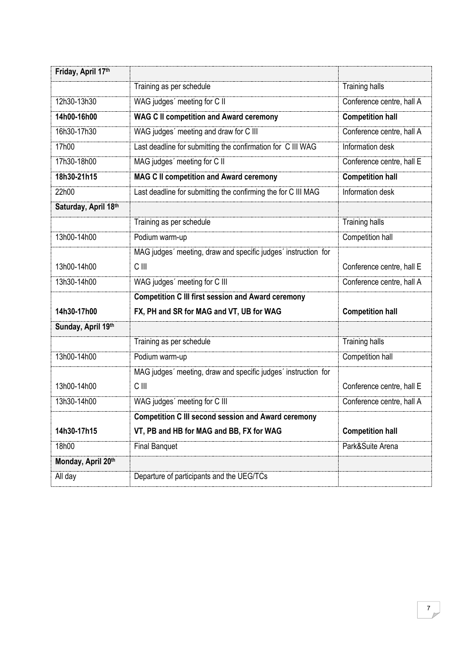| Friday, April 17th   |                                                                |                           |
|----------------------|----------------------------------------------------------------|---------------------------|
|                      | Training as per schedule                                       | <b>Training halls</b>     |
| 12h30-13h30          | WAG judges' meeting for C II                                   | Conference centre, hall A |
| 14h00-16h00          | <b>WAG C II competition and Award ceremony</b>                 | <b>Competition hall</b>   |
| 16h30-17h30          | WAG judges' meeting and draw for C III                         | Conference centre, hall A |
| 17h00                | Last deadline for submitting the confirmation for C III WAG    | Information desk          |
| 17h30-18h00          | MAG judges' meeting for C II                                   | Conference centre, hall E |
| 18h30-21h15          | <b>MAG C II competition and Award ceremony</b>                 | <b>Competition hall</b>   |
| 22h00                | Last deadline for submitting the confirming the for C III MAG  | Information desk          |
| Saturday, April 18th |                                                                |                           |
|                      | Training as per schedule                                       | <b>Training halls</b>     |
| 13h00-14h00          | Podium warm-up                                                 | Competition hall          |
|                      | MAG judges' meeting, draw and specific judges' instruction for |                           |
| 13h00-14h00          | C III                                                          | Conference centre, hall E |
| 13h30-14h00          | WAG judges' meeting for C III                                  | Conference centre, hall A |
|                      | <b>Competition C III first session and Award ceremony</b>      |                           |
| 14h30-17h00          | FX, PH and SR for MAG and VT, UB for WAG                       | <b>Competition hall</b>   |
| Sunday, April 19th   |                                                                |                           |
|                      | Training as per schedule                                       | <b>Training halls</b>     |
| 13h00-14h00          | Podium warm-up                                                 | Competition hall          |
|                      | MAG judges' meeting, draw and specific judges' instruction for |                           |
| 13h00-14h00          | C III                                                          | Conference centre, hall E |
| 13h30-14h00          | WAG judges' meeting for C III                                  | Conference centre, hall A |
|                      | <b>Competition C III second session and Award ceremony</b>     |                           |
| 14h30-17h15          | VT, PB and HB for MAG and BB, FX for WAG                       | <b>Competition hall</b>   |
| 18h00                | <b>Final Banquet</b>                                           | Park&Suite Arena          |
| Monday, April 20th   |                                                                |                           |
|                      |                                                                |                           |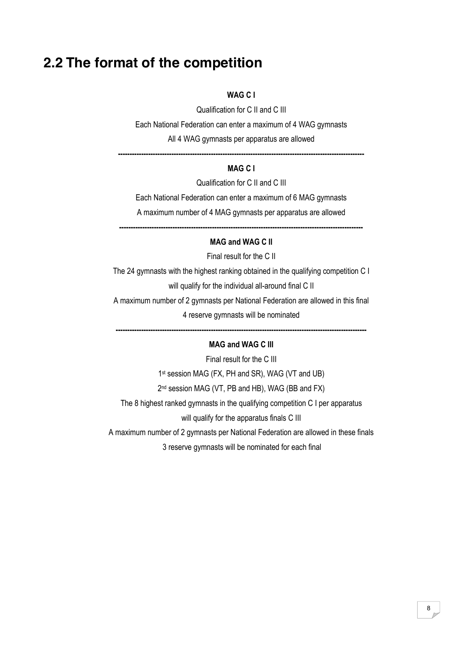#### <span id="page-7-0"></span>**2.2 The format of the competition**

#### **WAG C I**

Qualification for C II and C III

Each National Federation can enter a maximum of 4 WAG gymnasts

All 4 WAG gymnasts per apparatus are allowed

**----------------------------------------------------------------------------------------------------------**

#### **MAG C I**

Qualification for C II and C III

Each National Federation can enter a maximum of 6 MAG gymnasts A maximum number of 4 MAG gymnasts per apparatus are allowed

**---------------------------------------------------------------------------------------------------------**

#### **MAG and WAG C II**

Final result for the C II

The 24 gymnasts with the highest ranking obtained in the qualifying competition C I will qualify for the individual all-around final C II A maximum number of 2 gymnasts per National Federation are allowed in this final

4 reserve gymnasts will be nominated

**------------------------------------------------------------------------------------------------------------**

#### **MAG and WAG C III**

Final result for the C III 1<sup>st</sup> session MAG (FX, PH and SR), WAG (VT and UB) 2<sup>nd</sup> session MAG (VT, PB and HB), WAG (BB and FX) The 8 highest ranked gymnasts in the qualifying competition C I per apparatus will qualify for the apparatus finals C III A maximum number of 2 gymnasts per National Federation are allowed in these finals

3 reserve gymnasts will be nominated for each final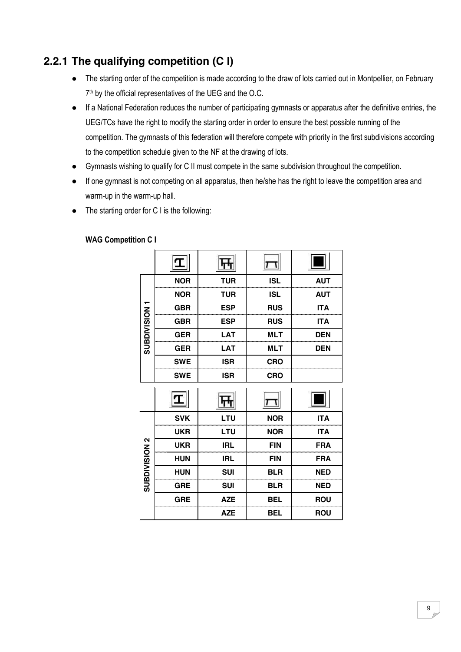#### <span id="page-8-0"></span>**2.2.1 The qualifying competition (C I)**

- The starting order of the competition is made according to the draw of lots carried out in Montpellier, on February 7<sup>th</sup> by the official representatives of the UEG and the O.C.
- If a National Federation reduces the number of participating gymnasts or apparatus after the definitive entries, the UEG/TCs have the right to modify the starting order in order to ensure the best possible running of the competition. The gymnasts of this federation will therefore compete with priority in the first subdivisions according to the competition schedule given to the NF at the drawing of lots.
- Gymnasts wishing to qualify for C II must compete in the same subdivision throughout the competition.
- If one gymnast is not competing on all apparatus, then he/she has the right to leave the competition area and warm-up in the warm-up hall.
- The starting order for C I is the following:

|                      | <b>NOR</b> | <b>TUR</b> | <b>ISL</b> | <b>AUT</b> |
|----------------------|------------|------------|------------|------------|
|                      | <b>NOR</b> | <b>TUR</b> | <b>ISL</b> | <b>AUT</b> |
|                      | <b>GBR</b> | <b>ESP</b> | <b>RUS</b> | <b>ITA</b> |
|                      | <b>GBR</b> | <b>ESP</b> | <b>RUS</b> | <b>ITA</b> |
| <b>SUBDIVISION1</b>  | <b>GER</b> | <b>LAT</b> | <b>MLT</b> | <b>DEN</b> |
|                      | <b>GER</b> | <b>LAT</b> | <b>MLT</b> | <b>DEN</b> |
|                      | <b>SWE</b> | <b>ISR</b> | <b>CRO</b> |            |
|                      | <b>SWE</b> | <b>ISR</b> | <b>CRO</b> |            |
|                      |            |            |            |            |
|                      |            |            |            |            |
|                      |            |            |            |            |
|                      | <b>SVK</b> | LTU        | <b>NOR</b> | <b>ITA</b> |
|                      | <b>UKR</b> | LTU        | <b>NOR</b> | <b>ITA</b> |
|                      | <b>UKR</b> | <b>IRL</b> | <b>FIN</b> | <b>FRA</b> |
|                      | <b>HUN</b> | <b>IRL</b> | <b>FIN</b> | <b>FRA</b> |
|                      | <b>HUN</b> | <b>SUI</b> | <b>BLR</b> | <b>NED</b> |
| <b>SUBDIVISION 2</b> | <b>GRE</b> | <b>SUI</b> | <b>BLR</b> | <b>NED</b> |
|                      | <b>GRE</b> | <b>AZE</b> | <b>BEL</b> | <b>ROU</b> |

#### **WAG Competition C I**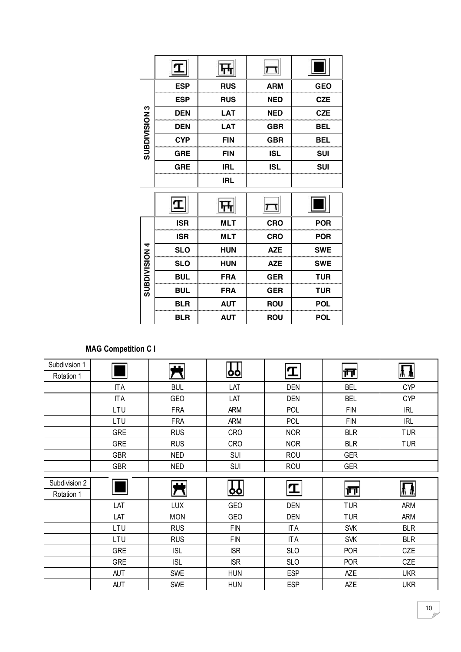|                      | <b>ESP</b> | <b>RUS</b> | <b>ARM</b> | <b>GEO</b> |
|----------------------|------------|------------|------------|------------|
|                      | <b>ESP</b> | <b>RUS</b> | <b>NED</b> | <b>CZE</b> |
| <b>SUBDIVISION 3</b> | <b>DEN</b> | <b>LAT</b> | <b>NED</b> | <b>CZE</b> |
|                      | <b>DEN</b> | <b>LAT</b> | <b>GBR</b> | <b>BEL</b> |
|                      | <b>CYP</b> | <b>FIN</b> | <b>GBR</b> | <b>BEL</b> |
|                      | <b>GRE</b> | <b>FIN</b> | <b>ISL</b> | <b>SUI</b> |
|                      | <b>GRE</b> | <b>IRL</b> | <b>ISL</b> | <b>SUI</b> |
|                      |            | <b>IRL</b> |            |            |
|                      |            |            |            |            |
|                      | T          |            |            |            |
|                      | <b>ISR</b> | <b>MLT</b> | <b>CRO</b> | <b>POR</b> |
|                      | <b>ISR</b> | <b>MLT</b> | <b>CRO</b> | <b>POR</b> |
|                      | <b>SLO</b> | HUN        | <b>AZE</b> | <b>SWE</b> |
|                      | <b>SLO</b> | <b>HUN</b> | <b>AZE</b> | <b>SWE</b> |
|                      | <b>BUL</b> | <b>FRA</b> | <b>GER</b> | <b>TUR</b> |
| <b>SUBDIVISION 4</b> | <b>BUL</b> | <b>FRA</b> | <b>GER</b> | <b>TUR</b> |
|                      | <b>BLR</b> | <b>AUT</b> | <b>ROU</b> | <b>POL</b> |

#### **MAG Competition C I**

| Subdivision 1 |            |            |             |            |                |            |
|---------------|------------|------------|-------------|------------|----------------|------------|
| Rotation 1    |            |            | <u> oo </u> | I          | $ \mathsf{m} $ | ∦∦         |
|               | <b>ITA</b> | <b>BUL</b> | LAT         | DEN        | <b>BEL</b>     | <b>CYP</b> |
|               | <b>ITA</b> | GEO        | LAT         | DEN        | <b>BEL</b>     | <b>CYP</b> |
|               | LTU        | <b>FRA</b> | ARM         | <b>POL</b> | <b>FIN</b>     | <b>IRL</b> |
|               | LTU        | <b>FRA</b> | ARM         | <b>POL</b> | <b>FIN</b>     | <b>IRL</b> |
|               | <b>GRE</b> | <b>RUS</b> | CRO         | <b>NOR</b> | <b>BLR</b>     | <b>TUR</b> |
|               | <b>GRE</b> | <b>RUS</b> | <b>CRO</b>  | <b>NOR</b> | <b>BLR</b>     | <b>TUR</b> |
|               | <b>GBR</b> | <b>NED</b> | <b>SUI</b>  | <b>ROU</b> | <b>GER</b>     |            |
|               | <b>GBR</b> | <b>NED</b> | <b>SUI</b>  | <b>ROU</b> | <b>GER</b>     |            |
| Subdivision 2 |            |            |             |            |                |            |
| Rotation 1    |            | Ħ          | <u> 99</u>  | I          | ∣†न            | MА         |
|               | LAT        | LUX        | <b>GEO</b>  | DEN        | <b>TUR</b>     | ARM        |
|               | LAT        | <b>MON</b> | <b>GEO</b>  | DEN        | <b>TUR</b>     | <b>ARM</b> |
|               | LTU        | <b>RUS</b> | <b>FIN</b>  | IT A       | <b>SVK</b>     | <b>BLR</b> |
|               | LTU        | <b>RUS</b> | <b>FIN</b>  | <b>ITA</b> | <b>SVK</b>     | <b>BLR</b> |
|               | <b>GRE</b> | <b>ISL</b> | <b>ISR</b>  | <b>SLO</b> | <b>POR</b>     | CZE        |
|               | <b>GRE</b> | <b>ISL</b> | <b>ISR</b>  | <b>SLO</b> | <b>POR</b>     | CZE        |
|               | AUT        | <b>SWE</b> | <b>HUN</b>  | <b>ESP</b> | <b>AZE</b>     | <b>UKR</b> |
|               | AUT        | <b>SWE</b> | <b>HUN</b>  | <b>ESP</b> | <b>AZE</b>     | <b>UKR</b> |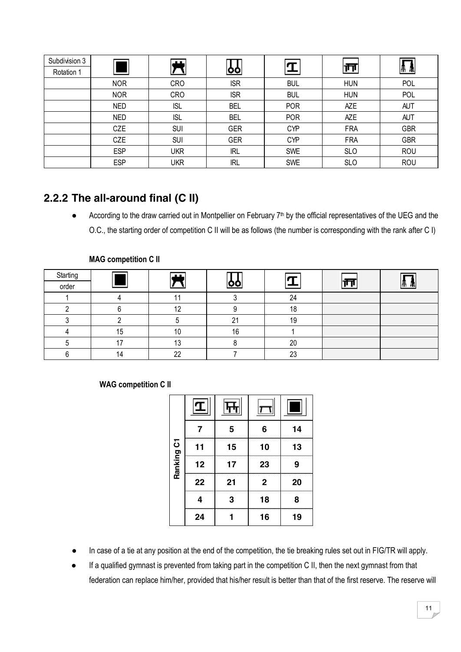| Subdivision 3<br>Rotation 1 |            | ட          | оo         |            | ∣π⊺        | Æ          |
|-----------------------------|------------|------------|------------|------------|------------|------------|
|                             | <b>NOR</b> | <b>CRO</b> | <b>ISR</b> | <b>BUL</b> | <b>HUN</b> | POL        |
|                             | <b>NOR</b> | <b>CRO</b> | <b>ISR</b> | <b>BUL</b> | <b>HUN</b> | POL        |
|                             | <b>NED</b> | <b>ISL</b> | <b>BEL</b> | <b>POR</b> | <b>AZE</b> | <b>AUT</b> |
|                             | <b>NED</b> | <b>ISL</b> | <b>BEL</b> | <b>POR</b> | <b>AZE</b> | <b>AUT</b> |
|                             | CZE        | <b>SUI</b> | GER        | <b>CYP</b> | <b>FRA</b> | <b>GBR</b> |
|                             | CZE        | <b>SUI</b> | <b>GER</b> | <b>CYP</b> | <b>FRA</b> | <b>GBR</b> |
|                             | <b>ESP</b> | <b>UKR</b> | <b>IRL</b> | <b>SWE</b> | <b>SLO</b> | ROU        |
|                             | <b>ESP</b> | UKR        | <b>IRL</b> | <b>SWE</b> | <b>SLO</b> | <b>ROU</b> |

#### <span id="page-10-0"></span>**2.2.2 The all-around final (C II)**

According to the draw carried out in Montpellier on February 7<sup>th</sup> by the official representatives of the UEG and the O.C., the starting order of competition C II will be as follows (the number is corresponding with the rank after C I)

| Starting |    | ட              |                   |          | $\overline{\phantom{0}}$ |    |
|----------|----|----------------|-------------------|----------|--------------------------|----|
| order    |    |                |                   |          |                          | 'М |
|          |    |                |                   | 24       |                          |    |
|          |    | $\overline{A}$ |                   | 18       |                          |    |
|          |    |                | $^{\circ}$<br>∠ । | 19       |                          |    |
|          | 15 | 10             | 16                |          |                          |    |
|          | េ  | 13             |                   | 20       |                          |    |
|          | 14 | 22             |                   | າາ<br>∠ب |                          |    |

#### **MAG competition C II**

#### **WAG competition C II**

|            | 7  | 5  | 6           | 14 |
|------------|----|----|-------------|----|
|            | 11 | 15 | 10          | 13 |
| Ranking C1 | 12 | 17 | 23          | 9  |
|            | 22 | 21 | $\mathbf 2$ | 20 |
|            | 4  | 3  | 18          | 8  |
|            | 24 |    | 16          | 19 |

- In case of a tie at any position at the end of the competition, the tie breaking rules set out in FIG/TR will apply.
- If a qualified gymnast is prevented from taking part in the competition C II, then the next gymnast from that federation can replace him/her, provided that his/her result is better than that of the first reserve. The reserve will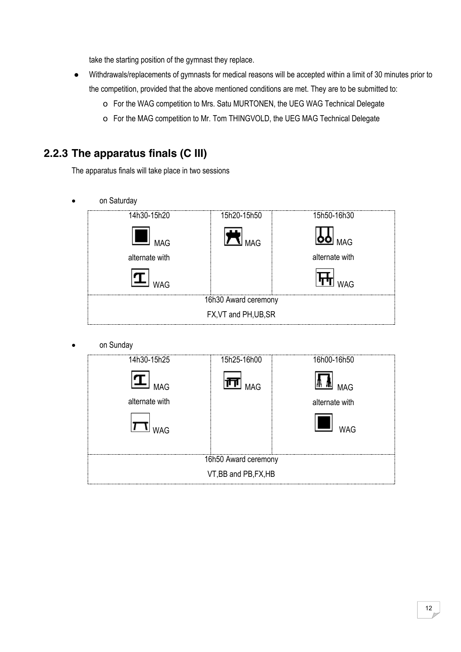take the starting position of the gymnast they replace.

- Withdrawals/replacements of gymnasts for medical reasons will be accepted within a limit of 30 minutes prior to the competition, provided that the above mentioned conditions are met. They are to be submitted to:
	- o For the WAG competition to Mrs. Satu MURTONEN, the UEG WAG Technical Delegate
	- o For the MAG competition to Mr. Tom THINGVOLD, the UEG MAG Technical Delegate

#### <span id="page-11-0"></span>**2.2.3 The apparatus finals (C III)**

The apparatus finals will take place in two sessions

on Saturday



on Sunday

| 14h30-15h25           | 15h25-16h00 | 16h00-16h50    |  |  |  |  |
|-----------------------|-------------|----------------|--|--|--|--|
| <b>MAG</b>            | <b>MAG</b>  | <b>MAG</b>     |  |  |  |  |
| alternate with        |             | alternate with |  |  |  |  |
| <b>WAG</b>            |             | <b>WAG</b>     |  |  |  |  |
| 16h50 Award ceremony  |             |                |  |  |  |  |
| VT, BB and PB, FX, HB |             |                |  |  |  |  |
|                       |             |                |  |  |  |  |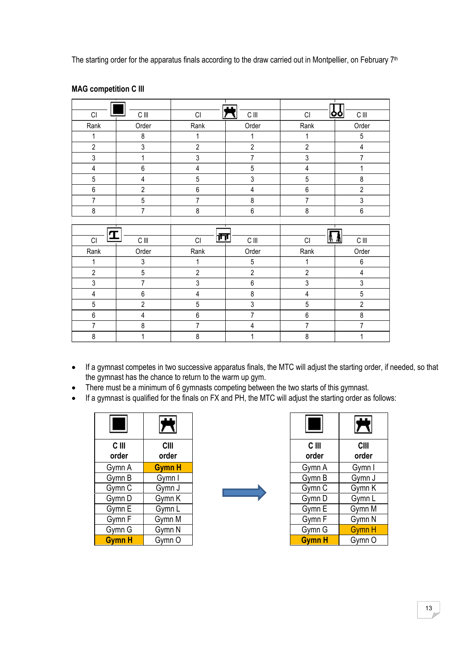The starting order for the apparatus finals according to the draw carried out in Montpellier, on February 7<sup>th</sup>

|                             |                         |                             | $\mathbf{I}$     |                         |                              |
|-----------------------------|-------------------------|-----------------------------|------------------|-------------------------|------------------------------|
| CI                          | $\mathsf C$ lll         | CI                          | $\mathsf C$ lll  | CI                      | $\mathsf C$ lll<br><u>oo</u> |
| Rank                        | Order                   | Rank                        | Order            | Rank                    | Order                        |
| $\mathbf{1}$                | $\bf 8$                 | 1                           | 1                | 1                       | $\sqrt{5}$                   |
| $\overline{2}$              | $\mathfrak{Z}$          | $\overline{2}$              | $\sqrt{2}$       | $\overline{2}$          | $\sqrt{4}$                   |
| $\mathfrak{Z}$              | $\mathbf{1}$            | 3                           | $\overline{7}$   | 3                       | $\overline{7}$               |
| $\pmb{4}$                   | $\boldsymbol{6}$        | $\overline{4}$              | 5                | $\overline{\mathbf{4}}$ | 1                            |
| 5                           | $\pmb{4}$               | $\mathbf 5$                 | $\mathfrak{z}$   | 5                       | $\bf 8$                      |
| 6                           | $\overline{2}$          | 6                           | 4                | 6                       | $\overline{2}$               |
| $\overline{7}$              | $\overline{5}$          | $\overline{7}$              | 8                | $\overline{7}$          | 3                            |
| $\bf 8$                     | $\overline{7}$          | $\bf 8$                     | $\boldsymbol{6}$ | $\bf 8$                 | $\boldsymbol{6}$             |
|                             |                         |                             |                  |                         |                              |
|                             |                         |                             |                  |                         |                              |
|                             |                         |                             |                  |                         |                              |
| I<br>$\mathsf{C}\mathsf{I}$ | $\mathsf C$ lll         | 巨<br>$\mathsf{C}\mathsf{I}$ | $\mathsf C$ lll  | <u> a v</u><br>CI       | $\mathsf C$ lll              |
| Rank                        | Order                   | Rank                        | Order            | Rank                    | Order                        |
| 1                           | $\mathbf{3}$            | 1                           | $\overline{5}$   | 1                       | $\boldsymbol{6}$             |
| $\boldsymbol{2}$            | $\mathbf 5$             | $\mathbf{2}$                | $\sqrt{2}$       | $\overline{2}$          | $\sqrt{4}$                   |
| $\overline{3}$              | $\overline{7}$          | 3                           | 6                | 3                       | $\mathfrak{Z}$               |
| $\overline{4}$              | $\,6\,$                 | $\overline{\mathbf{4}}$     | $\bf 8$          | $\overline{4}$          | $\overline{5}$               |
| $\sqrt{5}$                  | $\sqrt{2}$              | 5                           | $\mathfrak{Z}$   | 5                       | $\sqrt{2}$                   |
| 6                           | $\overline{\mathbf{4}}$ | 6                           | $\overline{7}$   | 6                       | 8                            |
| $\overline{7}$              | 8                       | $\overline{7}$              | $\pmb{4}$        | $\overline{7}$          | $\overline{7}$               |

#### **MAG competition C III**

- If a gymnast competes in two successive apparatus finals, the MTC will adjust the starting order, if needed, so that the gymnast has the chance to return to the warm up gym.
- There must be a minimum of 6 gymnasts competing between the two starts of this gymnast.
- If a gymnast is qualified for the finals on FX and PH, the MTC will adjust the starting order as follows:

| C III<br>order | CIII<br>order |
|----------------|---------------|
| Gymn A         | <b>Gymn H</b> |
| Gymn B         | Gymn I        |
| Gymn C         | Gymn J        |
| Gymn D         | Gymn K        |
| Gymn E         | Gymn L        |
| Gymn F         | Gymn M        |
| Gymn G         | Gymn N        |
| <b>Gymn H</b>  | Gymn O        |

|                | $\overline{\bm{\pi}}$ | ۰                | 茓                    |
|----------------|-----------------------|------------------|----------------------|
| C III<br>order | <b>CIII</b><br>order  | $C$ III<br>order | <b>CIII</b><br>order |
| Gymn A         | <b>Gymn H</b>         | Gymn A           | Gymn I               |
| Gymn B         | Gymn I                | Gymn B           | Gymn J               |
| Gymn C         | Gymn J                | Gymn C           | Gymn K               |
| Gymn D         | Gymn K                | Gymn D           | Gymn L               |
| Gymn E         | Gymn L                | Gymn E           | Gymn M               |
| Gymn F         | Gymn M                | Gymn F           | Gymn N               |
| Gymn G         | Gymn N                | Gymn G           | <b>Gymn H</b>        |
| Gymn H         | Gymn O                | <b>Gymn H</b>    | Gymn O               |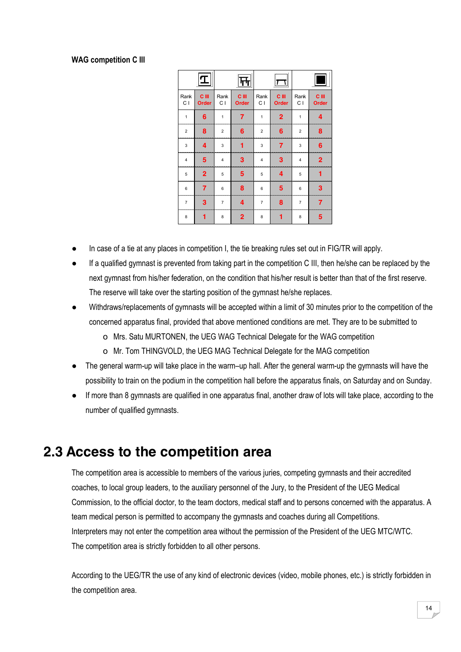#### **WAG competition C III**

| Rank<br>C I             | $C$ III<br>Order | Rank<br>C I             | <b>C</b> III<br>Order | Rank<br>C I    | <b>C</b> III<br>Order | Rank<br>C I    | $C$ III<br>Order |
|-------------------------|------------------|-------------------------|-----------------------|----------------|-----------------------|----------------|------------------|
| $\mathbf{1}$            | 6                | $\mathbf{1}$            | 7                     | $\mathbf{1}$   | $\overline{2}$        | 1              | 4                |
| $\overline{2}$          | 8                | $\overline{\mathbf{c}}$ | 6                     | $\overline{2}$ | 6                     | $\overline{2}$ | 8                |
| 3                       | 4                | 3                       |                       | 3              | 7                     | 3              | 6                |
| $\overline{\mathbf{4}}$ | 5                | 4                       | 3                     | $\overline{4}$ | 3                     | $\overline{4}$ | $\overline{2}$   |
| 5                       | $\overline{2}$   | 5                       | 5                     | 5              | 4                     | 5              | 1                |
| 6                       | 7                | 6                       | 8                     | 6              | 5                     | 6              | 3                |
| $\overline{7}$          | 3                | $\overline{7}$          | 4                     | $\overline{7}$ | 8                     | $\overline{7}$ | 7                |
| 8                       | 1                | 8                       | $\overline{2}$        | 8              | 1                     | 8              | 5                |

- In case of a tie at any places in competition I, the tie breaking rules set out in FIG/TR will apply.
- If a qualified gymnast is prevented from taking part in the competition C III, then he/she can be replaced by the next gymnast from his/her federation, on the condition that his/her result is better than that of the first reserve. The reserve will take over the starting position of the gymnast he/she replaces.
- Withdraws/replacements of gymnasts will be accepted within a limit of 30 minutes prior to the competition of the concerned apparatus final, provided that above mentioned conditions are met. They are to be submitted to
	- o Mrs. Satu MURTONEN, the UEG WAG Technical Delegate for the WAG competition
	- o Mr. Tom THINGVOLD, the UEG MAG Technical Delegate for the MAG competition
- The general warm-up will take place in the warm-up hall. After the general warm-up the gymnasts will have the possibility to train on the podium in the competition hall before the apparatus finals, on Saturday and on Sunday.
- If more than 8 gymnasts are qualified in one apparatus final, another draw of lots will take place, according to the number of qualified gymnasts.

#### <span id="page-13-0"></span>**2.3 Access to the competition area**

The competition area is accessible to members of the various juries, competing gymnasts and their accredited coaches, to local group leaders, to the auxiliary personnel of the Jury, to the President of the UEG Medical Commission, to the official doctor, to the team doctors, medical staff and to persons concerned with the apparatus. A team medical person is permitted to accompany the gymnasts and coaches during all Competitions. Interpreters may not enter the competition area without the permission of the President of the UEG MTC/WTC. The competition area is strictly forbidden to all other persons.

According to the UEG/TR the use of any kind of electronic devices (video, mobile phones, etc.) is strictly forbidden in the competition area.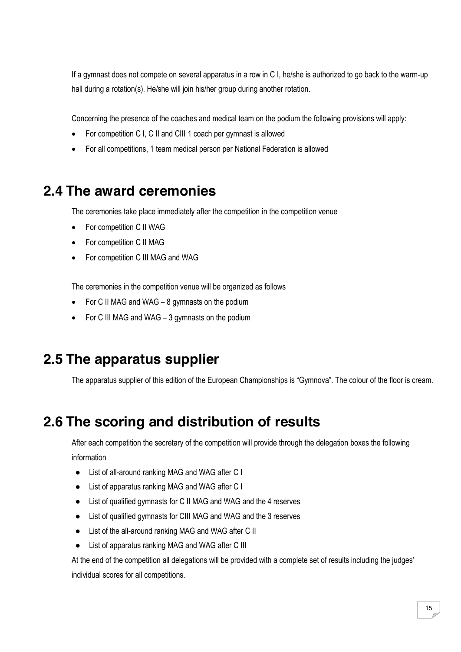If a gymnast does not compete on several apparatus in a row in C I, he/she is authorized to go back to the warm-up hall during a rotation(s). He/she will join his/her group during another rotation.

Concerning the presence of the coaches and medical team on the podium the following provisions will apply:

- For competition C I, C II and CIII 1 coach per gymnast is allowed
- For all competitions, 1 team medical person per National Federation is allowed

## <span id="page-14-0"></span>**2.4 The award ceremonies**

The ceremonies take place immediately after the competition in the competition venue

- For competition C II WAG
- For competition C II MAG
- For competition C III MAG and WAG

The ceremonies in the competition venue will be organized as follows

- For C II MAG and WAG  $-8$  gymnasts on the podium
- For C III MAG and WAG  $-$  3 gymnasts on the podium

## <span id="page-14-1"></span>**2.5 The apparatus supplier**

The apparatus supplier of this edition of the European Championships is "Gymnova". The colour of the floor is cream.

## <span id="page-14-2"></span>**2.6 The scoring and distribution of results**

After each competition the secretary of the competition will provide through the delegation boxes the following information

- List of all-around ranking MAG and WAG after C I
- List of apparatus ranking MAG and WAG after C I
- List of qualified gymnasts for C II MAG and WAG and the 4 reserves
- List of qualified gymnasts for CIII MAG and WAG and the 3 reserves
- List of the all-around ranking MAG and WAG after C II
- List of apparatus ranking MAG and WAG after C III

At the end of the competition all delegations will be provided with a complete set of results including the judges' individual scores for all competitions.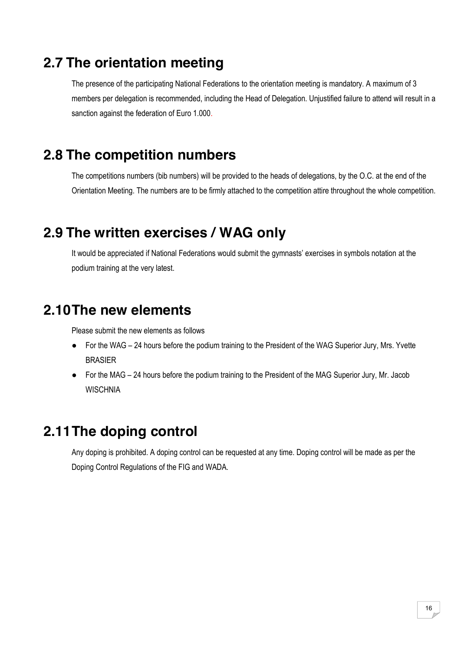## <span id="page-15-0"></span>**2.7 The orientation meeting**

The presence of the participating National Federations to the orientation meeting is mandatory. A maximum of 3 members per delegation is recommended, including the Head of Delegation. Unjustified failure to attend will result in a sanction against the federation of Euro 1.000.

#### <span id="page-15-1"></span>**2.8 The competition numbers**

The competitions numbers (bib numbers) will be provided to the heads of delegations, by the O.C. at the end of the Orientation Meeting. The numbers are to be firmly attached to the competition attire throughout the whole competition.

#### <span id="page-15-2"></span>**2.9 The written exercises / WAG only**

It would be appreciated if National Federations would submit the gymnasts' exercises in symbols notation at the podium training at the very latest.

## <span id="page-15-3"></span>**2.10The new elements**

Please submit the new elements as follows

- For the WAG 24 hours before the podium training to the President of the WAG Superior Jury, Mrs. Yvette BRASIER
- For the MAG 24 hours before the podium training to the President of the MAG Superior Jury, Mr. Jacob **WISCHNIA**

#### <span id="page-15-4"></span>**2.11The doping control**

Any doping is prohibited. A doping control can be requested at any time. Doping control will be made as per the Doping Control Regulations of the FIG and WADA.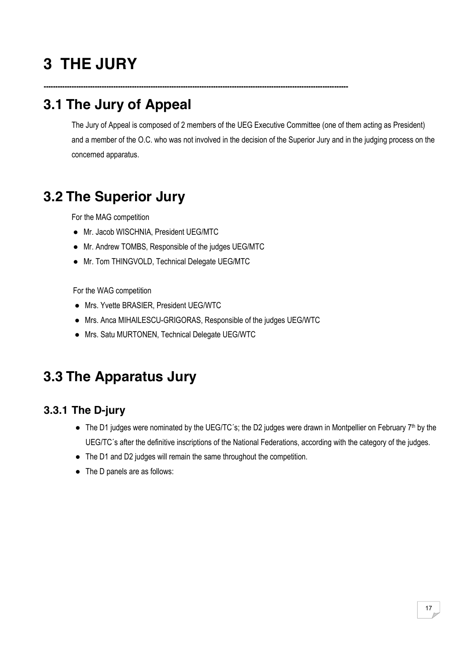# <span id="page-16-0"></span>**3 THE JURY**

# <span id="page-16-1"></span>**3.1 The Jury of Appeal**

The Jury of Appeal is composed of 2 members of the UEG Executive Committee (one of them acting as President) and a member of the O.C. who was not involved in the decision of the Superior Jury and in the judging process on the concerned apparatus.

## <span id="page-16-2"></span>**3.2 The Superior Jury**

For the MAG competition

- Mr. Jacob WISCHNIA, President UEG/MTC
- Mr. Andrew TOMBS, Responsible of the judges UEG/MTC
- Mr. Tom THINGVOLD, Technical Delegate UEG/MTC

For the WAG competition

- Mrs. Yvette BRASIER, President UEG/WTC
- Mrs. Anca MIHAILESCU-GRIGORAS, Responsible of the judges UEG/WTC

**-----------------------------------------------------------------------------------------------------------------------------------**

● Mrs. Satu MURTONEN, Technical Delegate UEG/WTC

## <span id="page-16-3"></span>**3.3 The Apparatus Jury**

#### <span id="page-16-4"></span>**3.3.1 The D-jury**

- The D1 judges were nominated by the UEG/TC's; the D2 judges were drawn in Montpellier on February 7<sup>th</sup> by the UEG/TC´s after the definitive inscriptions of the National Federations, according with the category of the judges.
- The D1 and D2 judges will remain the same throughout the competition.
- The D panels are as follows: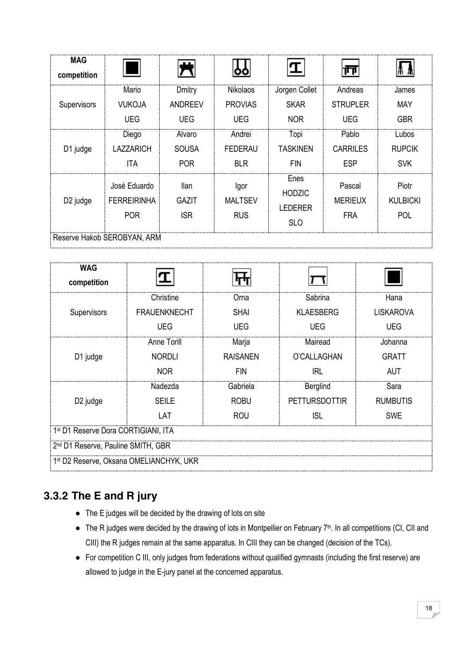| <b>MAG</b><br>competition   |                    |                |                 | I                  | 帀               |                 |  |
|-----------------------------|--------------------|----------------|-----------------|--------------------|-----------------|-----------------|--|
| Supervisors                 | Mario              | Dmitry         | <b>Nikolaos</b> | Jorgen Collet      | Andreas         | James           |  |
|                             | <b>VUKOJA</b>      | <b>ANDREEV</b> | <b>PROVIAS</b>  | <b>SKAR</b>        | <b>STRUPLER</b> | <b>MAY</b>      |  |
|                             | <b>UEG</b>         | <b>UEG</b>     | <b>UEG</b>      | <b>NOR</b>         | <b>UEG</b>      | <b>GBR</b>      |  |
|                             | Diego              | Alvaro         | Andrei          | Topi               | Pablo           | Lubos           |  |
|                             | <b>LAZZARICH</b>   | <b>SOUSA</b>   | <b>FEDERAU</b>  | <b>TASKINEN</b>    | <b>CARRILES</b> | <b>RUPCIK</b>   |  |
| D1 judge                    | <b>ITA</b>         | <b>POR</b>     | <b>BLR</b>      | <b>FIN</b><br>Enes | <b>ESP</b>      | <b>SVK</b>      |  |
| D <sub>2</sub> judge        | José Eduardo       | llan           | Igor            | <b>HODZIC</b>      | Pascal          | Piotr           |  |
|                             | <b>FERREIRINHA</b> | <b>GAZIT</b>   | <b>MALTSEV</b>  | <b>LEDERER</b>     | <b>MERIEUX</b>  | <b>KULBICKI</b> |  |
|                             | <b>POR</b>         | <b>ISR</b>     | <b>RUS</b>      | <b>SLO</b>         | <b>FRA</b>      | POL             |  |
| Reserve Hakob SEROBYAN, ARM |                    |                |                 |                    |                 |                 |  |

| <b>WAG</b><br>competition                           |                                                |                                |                      |                  |  |  |  |
|-----------------------------------------------------|------------------------------------------------|--------------------------------|----------------------|------------------|--|--|--|
|                                                     | Christine                                      | Orna                           | Sabrina              | Hana             |  |  |  |
| Supervisors                                         | <b>FRAUENKNECHT</b>                            | <b>SHAI</b>                    | <b>KLAESBERG</b>     | <b>LISKAROVA</b> |  |  |  |
|                                                     | UEG                                            | <b>UEG</b>                     | <b>UEG</b>           | <b>UEG</b>       |  |  |  |
|                                                     | Anne Torill                                    | Marja                          | Mairead              | Johanna          |  |  |  |
| D1 judge                                            | <b>NORDLI</b>                                  | O'CALLAGHAN<br><b>RAISANEN</b> |                      | <b>GRATT</b>     |  |  |  |
|                                                     | <b>NOR</b>                                     | <b>FIN</b>                     | IRL                  | <b>AUT</b>       |  |  |  |
|                                                     | Nadezda                                        | Gabriela                       | <b>Berglind</b>      | Sara             |  |  |  |
| D <sub>2</sub> judge                                | <b>SEILE</b>                                   | <b>ROBU</b>                    | <b>PETTURSDOTTIR</b> | <b>RUMBUTIS</b>  |  |  |  |
|                                                     | LAT                                            | <b>ROU</b>                     | ISL                  | <b>SWE</b>       |  |  |  |
| 1st D1 Reserve Dora CORTIGIANI, ITA                 |                                                |                                |                      |                  |  |  |  |
|                                                     | 2 <sup>nd</sup> D1 Reserve, Pauline SMITH, GBR |                                |                      |                  |  |  |  |
| 1 <sup>st</sup> D2 Reserve, Oksana OMELIANCHYK, UKR |                                                |                                |                      |                  |  |  |  |

#### <span id="page-17-0"></span>**3.3.2 The E and R jury**

- The E judges will be decided by the drawing of lots on site
- The R judges were decided by the drawing of lots in Montpellier on February 7<sup>th</sup>. In all competitions (CI, CII and CIII) the R judges remain at the same apparatus. In CIII they can be changed (decision of the TCs).
- For competition C III, only judges from federations without qualified gymnasts (including the first reserve) are allowed to judge in the E-jury panel at the concerned apparatus.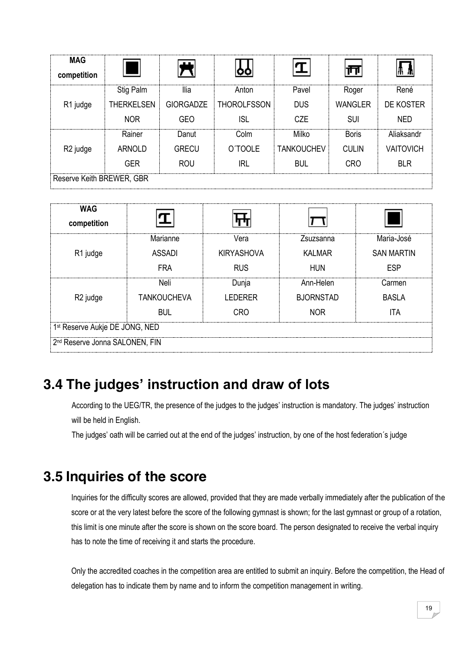| <b>MAG</b><br>competition |                   |                  |                    |                   |                |                  |  |
|---------------------------|-------------------|------------------|--------------------|-------------------|----------------|------------------|--|
|                           | Stig Palm         | <b>Ilia</b>      | Anton              | Pavel             | Roger          | René             |  |
| R1 judge                  | <b>THERKELSEN</b> | <b>GIORGADZE</b> | <b>THOROLFSSON</b> | <b>DUS</b>        | <b>WANGLER</b> | DE KOSTER        |  |
|                           | <b>NOR</b>        | <b>GEO</b>       | ISL                | <b>CZE</b>        | <b>SUI</b>     | <b>NED</b>       |  |
|                           | Rainer            | Danut            | Colm               | Milko             | <b>Boris</b>   | Aliaksandr       |  |
| R <sub>2</sub> judge      | <b>ARNOLD</b>     | <b>GRECU</b>     | O'TOOLE            | <b>TANKOUCHEV</b> | <b>CULIN</b>   | <b>VAITOVICH</b> |  |
|                           | <b>GER</b>        | <b>ROU</b>       | <b>IRL</b>         | <b>BUL</b>        | <b>CRO</b>     | <b>BLR</b>       |  |
| Reserve Keith BREWER, GBR |                   |                  |                    |                   |                |                  |  |

| <b>WAG</b><br>competition                  |                    |                   |                  |                   |  |  |
|--------------------------------------------|--------------------|-------------------|------------------|-------------------|--|--|
|                                            | Marianne           | Vera              | Zsuzsanna        | Maria-José        |  |  |
| R1 judge                                   | <b>ASSADI</b>      | <b>KIRYASHOVA</b> | <b>KALMAR</b>    | <b>SAN MARTIN</b> |  |  |
|                                            | <b>FRA</b>         | <b>RUS</b>        | <b>HUN</b>       | <b>ESP</b>        |  |  |
|                                            | Neli               | Dunja             | Ann-Helen        | Carmen            |  |  |
| R <sub>2</sub> judge                       | <b>TANKOUCHEVA</b> | <b>LEDERER</b>    | <b>BJORNSTAD</b> | <b>BASLA</b>      |  |  |
|                                            | <b>BUL</b>         | <b>CRO</b>        | <b>NOR</b>       | ITA               |  |  |
| 1st Reserve Aukje DE JONG, NED             |                    |                   |                  |                   |  |  |
| 2 <sup>nd</sup> Reserve Jonna SALONEN, FIN |                    |                   |                  |                   |  |  |

## <span id="page-18-0"></span>**3.4 The judges' instruction and draw of lots**

According to the UEG/TR, the presence of the judges to the judges' instruction is mandatory. The judges' instruction will be held in English.

The judges' oath will be carried out at the end of the judges' instruction, by one of the host federation´s judge

#### <span id="page-18-1"></span>**3.5 Inquiries of the score**

Inquiries for the difficulty scores are allowed, provided that they are made verbally immediately after the publication of the score or at the very latest before the score of the following gymnast is shown; for the last gymnast or group of a rotation, this limit is one minute after the score is shown on the score board. The person designated to receive the verbal inquiry has to note the time of receiving it and starts the procedure.

Only the accredited coaches in the competition area are entitled to submit an inquiry. Before the competition, the Head of delegation has to indicate them by name and to inform the competition management in writing.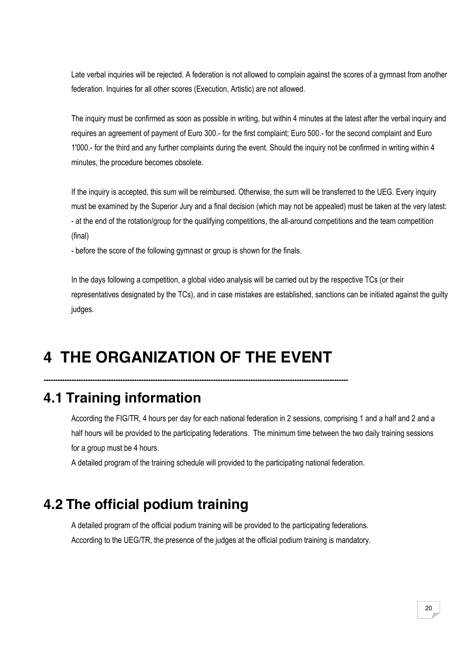Late verbal inquiries will be rejected. A federation is not allowed to complain against the scores of a gymnast from another federation. Inquiries for all other scores (Execution, Artistic) are not allowed.

The inquiry must be confirmed as soon as possible in writing, but within 4 minutes at the latest after the verbal inquiry and requires an agreement of payment of Euro 300.- for the first complaint; Euro 500.- for the second complaint and Euro 1'000.- for the third and any further complaints during the event. Should the inquiry not be confirmed in writing within 4 minutes, the procedure becomes obsolete.

If the inquiry is accepted, this sum will be reimbursed. Otherwise, the sum will be transferred to the UEG. Every inquiry must be examined by the Superior Jury and a final decision (which may not be appealed) must be taken at the very latest: - at the end of the rotation/group for the qualifying competitions, the all-around competitions and the team competition (final)

- before the score of the following gymnast or group is shown for the finals.

In the days following a competition, a global video analysis will be carried out by the respective TCs (or their representatives designated by the TCs), and in case mistakes are established, sanctions can be initiated against the guilty judges.

# <span id="page-19-0"></span>**4 THE ORGANIZATION OF THE EVENT**

**-----------------------------------------------------------------------------------------------------------------------------------**

## <span id="page-19-1"></span>**4.1 Training information**

According the FIG/TR, 4 hours per day for each national federation in 2 sessions, comprising 1 and a half and 2 and a half hours will be provided to the participating federations. The minimum time between the two daily training sessions for a group must be 4 hours.

A detailed program of the training schedule will provided to the participating national federation.

## <span id="page-19-2"></span>**4.2 The official podium training**

A detailed program of the official podium training will be provided to the participating federations. According to the UEG/TR, the presence of the judges at the official podium training is mandatory.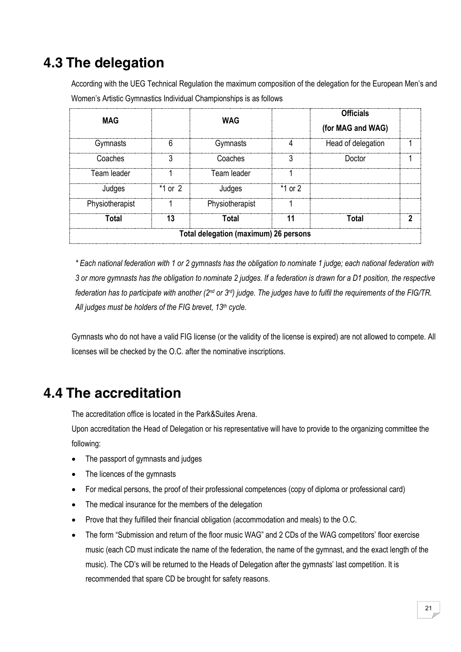## <span id="page-20-0"></span>**4.3 The delegation**

According with the UEG Technical Regulation the maximum composition of the delegation for the European Men's and Women's Artistic Gymnastics Individual Championships is as follows

| <b>MAG</b>      |           | <b>WAG</b>                            |           | <b>Officials</b><br>(for MAG and WAG) |  |
|-----------------|-----------|---------------------------------------|-----------|---------------------------------------|--|
| Gymnasts        | 6         | Gymnasts                              |           | Head of delegation                    |  |
| Coaches         |           | Coaches                               |           | Doctor                                |  |
| Team leader     |           | Team leader                           |           |                                       |  |
| Judges          | $*1$ or 2 | Judges                                | $*1$ or 2 |                                       |  |
| Physiotherapist |           | Physiotherapist                       |           |                                       |  |
| Total           | 13        | Total                                 |           | Total                                 |  |
|                 |           | Total delegation (maximum) 26 persons |           |                                       |  |

*\* Each national federation with 1 or 2 gymnasts has the obligation to nominate 1 judge; each national federation with 3 or more gymnasts has the obligation to nominate 2 judges. If a federation is drawn for a D1 position, the respective federation has to participate with another (2nd or 3rd) judge. The judges have to fulfil the requirements of the FIG/TR. All judges must be holders of the FIG brevet, 13th cycle.*

Gymnasts who do not have a valid FIG license (or the validity of the license is expired) are not allowed to compete. All licenses will be checked by the O.C. after the nominative inscriptions.

## <span id="page-20-1"></span>**4.4 The accreditation**

The accreditation office is located in the Park&Suites Arena.

Upon accreditation the Head of Delegation or his representative will have to provide to the organizing committee the following:

- The passport of gymnasts and judges
- The licences of the gymnasts
- For medical persons, the proof of their professional competences (copy of diploma or professional card)
- The medical insurance for the members of the delegation
- Prove that they fulfilled their financial obligation (accommodation and meals) to the O.C.
- The form "Submission and return of the floor music WAG" and 2 CDs of the WAG competitors' floor exercise music (each CD must indicate the name of the federation, the name of the gymnast, and the exact length of the music). The CD's will be returned to the Heads of Delegation after the gymnasts' last competition. It is recommended that spare CD be brought for safety reasons.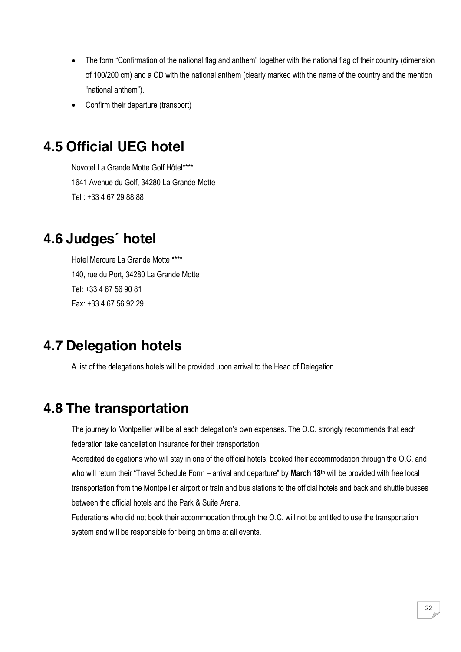- The form "Confirmation of the national flag and anthem" together with the national flag of their country (dimension of 100/200 cm) and a CD with the national anthem (clearly marked with the name of the country and the mention "national anthem").
- Confirm their departure (transport)

## <span id="page-21-0"></span>**4.5 Official UEG hotel**

Novotel La Grande Motte Golf Hôtel\*\*\*\* 1641 Avenue du Golf, 34280 La Grande-Motte Tel : +33 4 67 29 88 88

#### <span id="page-21-1"></span>**4.6 Judges´ hotel**

Hotel Mercure La Grande Motte \*\*\*\* 140, rue du Port, 34280 La Grande Motte Tel: +33 4 67 56 90 81 Fax: +33 4 67 56 92 29

#### <span id="page-21-2"></span>**4.7 Delegation hotels**

A list of the delegations hotels will be provided upon arrival to the Head of Delegation.

## <span id="page-21-3"></span>**4.8 The transportation**

The journey to Montpellier will be at each delegation's own expenses. The O.C. strongly recommends that each federation take cancellation insurance for their transportation.

Accredited delegations who will stay in one of the official hotels, booked their accommodation through the O.C. and who will return their "Travel Schedule Form – arrival and departure" by **March 18th** will be provided with free local transportation from the Montpellier airport or train and bus stations to the official hotels and back and shuttle busses between the official hotels and the Park & Suite Arena.

Federations who did not book their accommodation through the O.C. will not be entitled to use the transportation system and will be responsible for being on time at all events.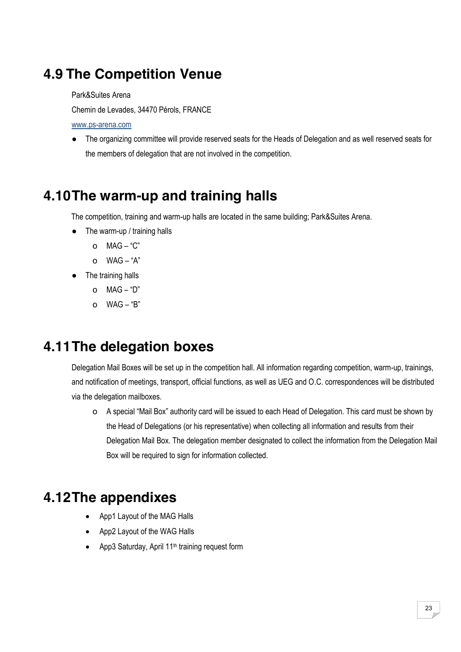## <span id="page-22-0"></span>**4.9 The Competition Venue**

Park&Suites Arena

Chemin de Levades, 34470 Pérols, FRANCE

[www.ps-arena.com](http://www.ps-arena.com/)

● The organizing committee will provide reserved seats for the Heads of Delegation and as well reserved seats for the members of delegation that are not involved in the competition.

#### <span id="page-22-1"></span>**4.10The warm-up and training halls**

The competition, training and warm-up halls are located in the same building; Park&Suites Arena.

- The warm-up / training halls
	- o MAG "C"
	- o WAG "A"
- The training halls
	- o MAG "D"
	- $O$  WAG "B"

#### <span id="page-22-2"></span>**4.11The delegation boxes**

Delegation Mail Boxes will be set up in the competition hall. All information regarding competition, warm-up, trainings, and notification of meetings, transport, official functions, as well as UEG and O.C. correspondences will be distributed via the delegation mailboxes.

o A special "Mail Box" authority card will be issued to each Head of Delegation. This card must be shown by the Head of Delegations (or his representative) when collecting all information and results from their Delegation Mail Box. The delegation member designated to collect the information from the Delegation Mail Box will be required to sign for information collected.

#### <span id="page-22-3"></span>**4.12The appendixes**

- App1 Layout of the MAG Halls
- App2 Layout of the WAG Halls
- App3 Saturday, April 11<sup>th</sup> training request form